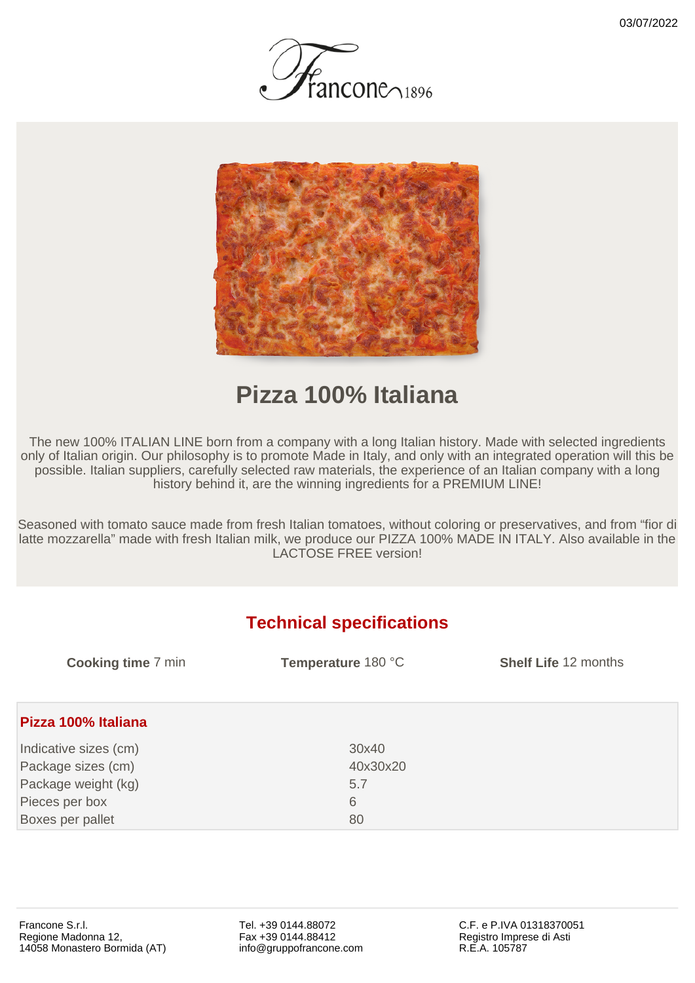



## **Pizza 100% Italiana**

The new 100% ITALIAN LINE born from a company with a long Italian history. Made with selected ingredients only of Italian origin. Our philosophy is to promote Made in Italy, and only with an integrated operation will this be possible. Italian suppliers, carefully selected raw materials, the experience of an Italian company with a long history behind it, are the winning ingredients for a PREMIUM LINE!

Seasoned with tomato sauce made from fresh Italian tomatoes, without coloring or preservatives, and from "fior di latte mozzarella" made with fresh Italian milk, we produce our PIZZA 100% MADE IN ITALY. Also available in the LACTOSE FREE version!

## **Technical specifications**

| <b>Cooking time 7 min</b> | Temperature 180 °C | <b>Shelf Life 12 months</b> |
|---------------------------|--------------------|-----------------------------|
| Pizza 100% Italiana       |                    |                             |
| Indicative sizes (cm)     | 30x40              |                             |
| Package sizes (cm)        | 40x30x20           |                             |
| Package weight (kg)       | 5.7                |                             |
| Pieces per box            | 6                  |                             |
| Boxes per pallet          | 80                 |                             |